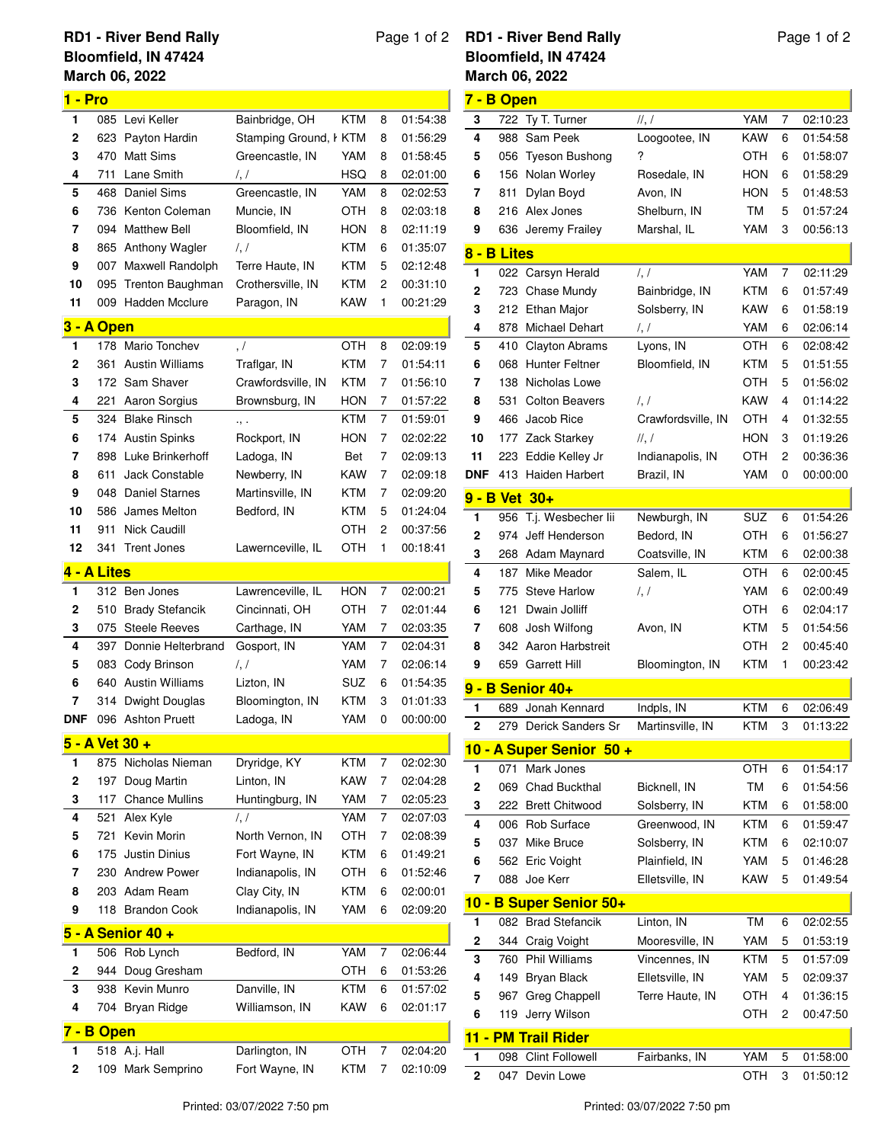## **March 06, 2022 RD1 - River Bend Rally Bloomfield, IN 47424**

## **1 - Pro** 085 Levi Keller Bainbridge, OH KTM 8 01:54:38 623 Payton Hardin Stamping Ground, KTM 8 01:56:29 470 Matt Sims Greencastle, IN YAM 8 01:58:45 711 Lane Smith /, / HSQ 8 02:01:00 468 Daniel Sims Greencastle, IN YAM 8 02:02:53 736 Kenton Coleman Muncie, IN OTH 8 02:03:18 094 Matthew Bell Bloomfield, IN HON 8 02:11:19 865 Anthony Wagler /, / KTM 6 01:35:07 007 Maxwell Randolph Terre Haute, IN KTM 5 02:12:48 095 Trenton Baughman Crothersville, IN KTM 2 00:31:10 009 Hadden Mcclure Paragon, IN KAW 1 00:21:29 **3 - A Open** 178 Mario Tonchev , / OTH 8 02:09:19 361 Austin Williams Traflgar, IN KTM 7 01:54:11 172 Sam Shaver Crawfordsville, IN KTM 7 01:56:10 221 Aaron Sorgius Brownsburg, IN HON 7 01:57:22 324 Blake Rinsch ., . KTM 7 01:59:01 174 Austin Spinks Rockport, IN HON 7 02:02:22 898 Luke Brinkerhoff Ladoga, IN Bet 7 02:09:13 611 Jack Constable Newberry, IN KAW 7 02:09:18 048 Daniel Starnes Martinsville, IN KTM 7 02:09:20 586 James Melton Bedford, IN KTM 5 01:24:04 911 Nick Caudill OTH 2 00:37:56 341 Trent Jones Lawernceville, IL OTH 1 00:18:41 **4 - A Lites** 312 Ben Jones Lawrenceville, IL HON 7 02:00:21 510 Brady Stefancik Cincinnati, OH OTH 7 02:01:44 075 Steele Reeves Carthage, IN YAM 7 02:03:35 397 Donnie Helterbrand Gosport, IN YAM 7 02:04:31 083 Cody Brinson /, / YAM 7 02:06:14 640 Austin Williams Lizton, IN SUZ 6 01:54:35 314 Dwight Douglas Bloomington, IN KTM 3 01:01:33 **DNF** 096 Ashton Pruett Ladoga, IN YAM 0 00:00:00 **5 - A Vet 30 +** 875 Nicholas Nieman Dryridge, KY KTM 7 02:02:30 197 Doug Martin Linton, IN KAW 7 02:04:28 117 Chance Mullins Huntingburg, IN YAM 7 02:05:23 521 Alex Kyle /, / YAM 7 02:07:03 721 Kevin Morin North Vernon, IN OTH 7 02:08:39 175 Justin Dinius Fort Wayne, IN KTM 6 01:49:21 230 Andrew Power Indianapolis, IN OTH 6 01:52:46 203 Adam Ream Clay City, IN KTM 6 02:00:01 118 Brandon Cook Indianapolis, IN YAM 6 02:09:20 **5 - A Senior 40 +** 506 Rob Lynch Bedford, IN YAM 7 02:06:44 944 Doug Gresham OTH 6 01:53:26 938 Kevin Munro Danville, IN KTM 6 01:57:02 704 Bryan Ridge Williamson, IN KAW 6 02:01:17 **7 - B Open** 518 A.j. Hall Darlington, IN OTH 7 02:04:20

109 Mark Semprino Fort Wayne, IN KTM 7 02:10:09

## Page 1 of 2 **RD1 - River Bend Rally Bloomfield, IN 47424**

## Page 1 of 2

|        |                      | March 06, 2022                       |                            |            |        |                      |
|--------|----------------------|--------------------------------------|----------------------------|------------|--------|----------------------|
|        | 7 - B Open           |                                      |                            |            |        |                      |
| 3      | 722                  | Ty T. Turner                         | ,                          | YAM        | 7      | 02:10:23             |
| 4      | 988                  | Sam Peek                             | Loogootee, IN              | KAW        | 6      | 01:54:58             |
| 5      | 056                  | <b>Tyeson Bushong</b>                | ?                          | OTH        | 6      | 01:58:07             |
| 6      | 156                  | Nolan Worley                         | Rosedale, IN               | HON        | 6      | 01:58:29             |
| 7      | 811                  | Dylan Boyd                           | Avon, IN                   | HON        | 5      | 01:48:53             |
| 8      |                      | 216 Alex Jones                       | Shelburn, IN               | TM         | 5      | 01:57:24             |
| 9      | 636                  | Jeremy Frailey                       | Marshal, IL                | YAM        | 3      | 00:56:13             |
|        | 8 - B Lites          |                                      |                            |            |        |                      |
| 1      | 022                  | Carsyn Herald                        | $\frac{1}{2}$              | YAM        | 7      | 02:11:29             |
| 2      | 723                  | Chase Mundy                          | Bainbridge, IN             | KTM        | 6      | 01:57:49             |
| 3      | 212                  | Ethan Major                          | Solsberry, IN              | KAW        | 6      | 01:58:19             |
| 4      | 878                  | Michael Dehart                       | $\frac{1}{2}$              | YAM        | 6      | 02:06:14             |
| 5      | 410                  | <b>Clayton Abrams</b>                | Lyons, IN                  | отн        | 6      | 02:08:42             |
| 6      |                      | 068 Hunter Feltner                   | Bloomfield, IN             | KTM        | 5      | 01:51:55             |
| 7      | 138                  | Nicholas Lowe                        |                            | отн        | 5      | 01:56:02             |
| 8      | 531                  | <b>Colton Beavers</b>                | $\frac{1}{2}$              | KAW        | 4      | 01:14:22             |
| 9      | 466                  | Jacob Rice                           | Crawfordsville, IN         | отн        | 4      | 01:32:55             |
| 10     | 177                  | Zack Starkey                         | $\mathcal{U}, \mathcal{V}$ | HON        | 3      | 01:19:26             |
| 11     | 223                  | Eddie Kelley Jr                      | Indianapolis, IN           | ОТН        | 2      | 00:36:36             |
| DNF    | 413                  | Haiden Harbert                       | Brazil, IN                 | YAM        | 0      | 00:00:00             |
|        | <u>9 - B Vet 30+</u> |                                      |                            |            |        |                      |
| 1      | 956                  | T.j. Wesbecher lii                   | Newburgh, IN               | SUZ        | 6      | 01:54:26             |
| 2      | 974                  | Jeff Henderson                       | Bedord, IN                 | отн        | 6      | 01:56:27             |
| 3      |                      | 268 Adam Maynard                     | Coatsville, IN             | KTM        | 6      | 02:00:38             |
| 4      | 187                  | Mike Meador                          | Salem, IL                  | отн        | 6      | 02:00:45             |
| 5      | 775                  | <b>Steve Harlow</b>                  | $\prime, \prime$           | YAM        | 6      | 02:00:49             |
| 6      | 121                  | Dwain Jolliff                        |                            | ОТН        | 6      | 02:04:17             |
| 7      | 608                  | Josh Wilfong                         | Avon, IN                   | KTM        | 5      | 01:54:56             |
| 8      | 342                  | Aaron Harbstreit                     |                            | ОТН        | 2      | 00:45:40             |
| 9      | 659                  | <b>Garrett Hill</b>                  | Bloomington, IN            | KTM        | 1      | 00:23:42             |
|        |                      | 9 - B Senior 40+                     |                            |            |        |                      |
| 1      | 689                  | Jonah Kennard                        | Indpls, IN                 | KTM        | 6      | 02:06:49             |
| 2      |                      | 279 Derick Sanders Sr                | Martinsville, IN           | KTM        | 3      | 01:13:22             |
|        |                      | 10 - A Super Senior 50 +             |                            |            |        |                      |
| 1      | 071                  | Mark Jones                           |                            | <b>OTH</b> | 6      | 01:54:17             |
| 2      | 069                  | <b>Chad Buckthal</b>                 | Bicknell, IN               | ТM         | 6      | 01:54:56             |
| 3      |                      | 222 Brett Chitwood                   | Solsberry, IN              | KTM        | 6      | 01:58:00             |
| 4      |                      | 006 Rob Surface                      | Greenwood, IN              | KTM        | 6      | 01:59:47             |
| 5      | 037                  | Mike Bruce                           | Solsberry, IN              | KTM        | 6      | 02:10:07             |
| 6      |                      | 562 Eric Voight                      | Plainfield, IN             | YAM        | 5      | 01:46:28             |
| 7      |                      | 088 Joe Kerr                         | Elletsville, IN            | KAW        | 5      | 01:49:54             |
| 10 -   |                      | <b>B Super Senior 50+</b>            |                            |            |        |                      |
| 1      | 082                  | <b>Brad Stefancik</b>                | Linton, IN                 | ТM         | 6      | 02:02:55             |
| 2      | 344                  | Craig Voight                         | Mooresville, IN            | YAM        | 5      | 01:53:19             |
| 3      | 760                  | <b>Phil Williams</b>                 | Vincennes, IN              | <b>KTM</b> | 5      | 01:57:09             |
| 4      |                      | 149 Bryan Black                      | Elletsville, IN            | YAM        | 5      | 02:09:37             |
| 5      | 967                  | Greg Chappell                        | Terre Haute, IN            | ОТН        | 4      | 01:36:15             |
| 6      | 119                  | Jerry Wilson                         |                            | ОТН        | 2      | 00:47:50             |
|        |                      |                                      |                            |            |        |                      |
|        |                      | 11 - PM Trail Rider                  |                            |            |        |                      |
| 1<br>2 | 098<br>047           | <b>Clint Followell</b><br>Devin Lowe | Fairbanks, IN              | YAM<br>отн | 5<br>3 | 01:58:00<br>01:50:12 |
|        |                      |                                      |                            |            |        |                      |